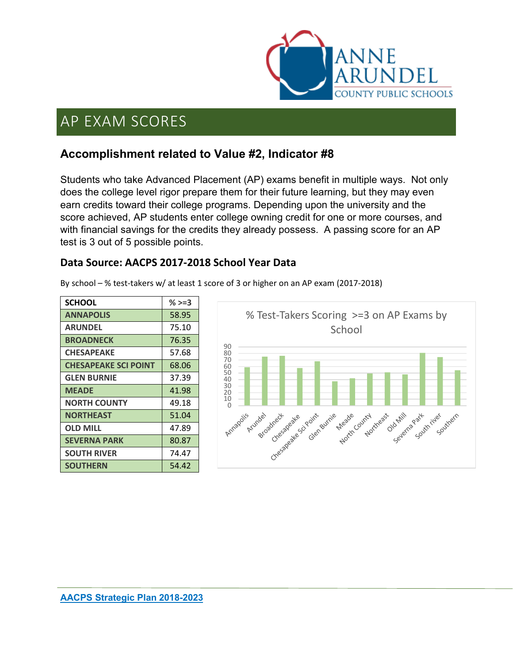

### **Accomplishment related to Value #2, Indicator #8**

Students who take Advanced Placement (AP) exams benefit in multiple ways. Not only does the college level rigor prepare them for their future learning, but they may even earn credits toward their college programs. Depending upon the university and the score achieved, AP students enter college owning credit for one or more courses, and with financial savings for the credits they already possess. A passing score for an AP test is 3 out of 5 possible points.

#### **Data Source: AACPS 2017-2018 School Year Data**

| <b>SCHOOL</b>               | % $>=3$ |
|-----------------------------|---------|
| <b>ANNAPOLIS</b>            | 58.95   |
| <b>ARUNDEL</b>              | 75.10   |
| <b>BROADNECK</b>            | 76.35   |
| <b>CHESAPEAKE</b>           | 57.68   |
| <b>CHESAPEAKE SCI POINT</b> | 68.06   |
| <b>GLEN BURNIE</b>          | 37.39   |
| <b>MFADF</b>                | 41.98   |
| <b>NORTH COUNTY</b>         | 49.18   |
| <b>NORTHEAST</b>            | 51.04   |
| <b>OLD MILL</b>             | 47.89   |
| <b>SEVERNA PARK</b>         | 80.87   |
| <b>SOUTH RIVER</b>          | 74.47   |
| <b>SOUTHERN</b>             | 54.42   |

By school – % test-takers w/ at least 1 score of 3 or higher on an AP exam (2017-2018)

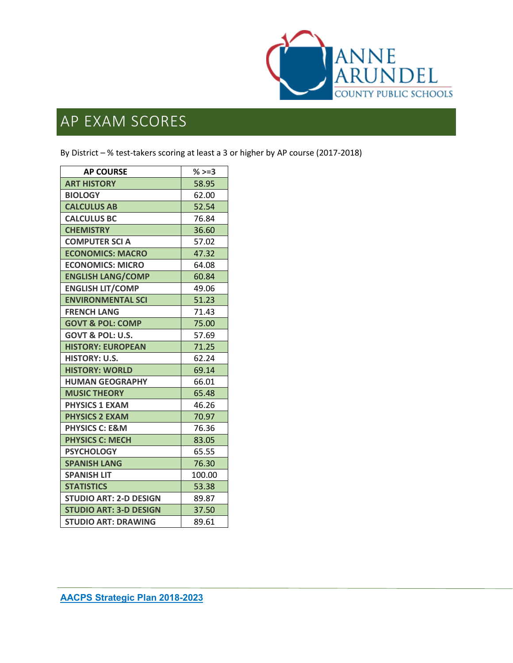

By District – % test-takers scoring at least a 3 or higher by AP course (2017-2018)

| <b>AP COURSE</b>              | $%>=3$ |
|-------------------------------|--------|
| <b>ART HISTORY</b>            | 58.95  |
| <b>BIOLOGY</b>                | 62.00  |
| <b>CALCULUS AB</b>            | 52.54  |
| <b>CALCULUS BC</b>            | 76.84  |
| <b>CHEMISTRY</b>              | 36.60  |
| <b>COMPUTER SCI A</b>         | 57.02  |
| <b>ECONOMICS: MACRO</b>       | 47.32  |
| <b>ECONOMICS: MICRO</b>       | 64.08  |
| <b>ENGLISH LANG/COMP</b>      | 60.84  |
| <b>ENGLISH LIT/COMP</b>       | 49.06  |
| <b>ENVIRONMENTAL SCI</b>      | 51.23  |
| <b>FRENCH LANG</b>            | 71.43  |
| <b>GOVT &amp; POL: COMP</b>   | 75.00  |
| GOVT & POL: U.S.              | 57.69  |
| <b>HISTORY: EUROPEAN</b>      | 71.25  |
| <b>HISTORY: U.S.</b>          | 62.24  |
| <b>HISTORY: WORLD</b>         | 69.14  |
| <b>HUMAN GEOGRAPHY</b>        | 66.01  |
| <b>MUSIC THEORY</b>           | 65.48  |
| <b>PHYSICS 1 EXAM</b>         | 46.26  |
| <b>PHYSICS 2 EXAM</b>         | 70.97  |
| <b>PHYSICS C: E&amp;M</b>     | 76.36  |
| <b>PHYSICS C: MECH</b>        | 83.05  |
| <b>PSYCHOLOGY</b>             | 65.55  |
| <b>SPANISH LANG</b>           | 76.30  |
| <b>SPANISH LIT</b>            | 100.00 |
| <b>STATISTICS</b>             | 53.38  |
| <b>STUDIO ART: 2-D DESIGN</b> | 89.87  |
| <b>STUDIO ART: 3-D DESIGN</b> | 37.50  |
| <b>STUDIO ART: DRAWING</b>    | 89.61  |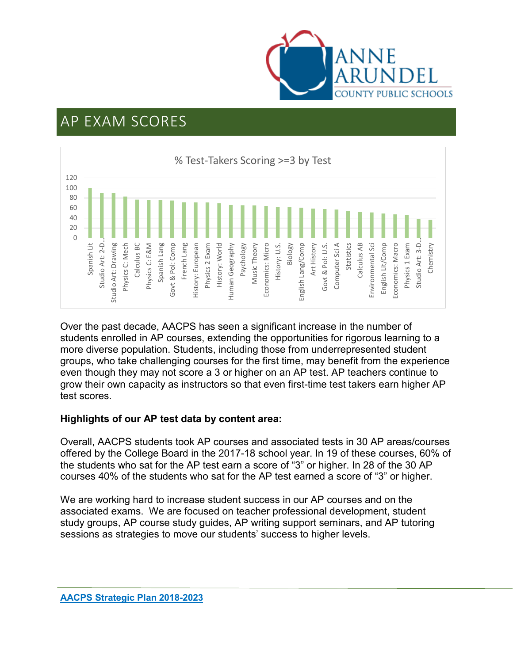



Over the past decade, AACPS has seen a significant increase in the number of students enrolled in AP courses, extending the opportunities for rigorous learning to a more diverse population. Students, including those from underrepresented student groups, who take challenging courses for the first time, may benefit from the experience even though they may not score a 3 or higher on an AP test. AP teachers continue to grow their own capacity as instructors so that even first-time test takers earn higher AP test scores.

#### **Highlights of our AP test data by content area:**

Overall, AACPS students took AP courses and associated tests in 30 AP areas/courses offered by the College Board in the 2017-18 school year. In 19 of these courses, 60% of the students who sat for the AP test earn a score of "3" or higher. In 28 of the 30 AP courses 40% of the students who sat for the AP test earned a score of "3" or higher.

We are working hard to increase student success in our AP courses and on the associated exams. We are focused on teacher professional development, student study groups, AP course study guides, AP writing support seminars, and AP tutoring sessions as strategies to move our students' success to higher levels.